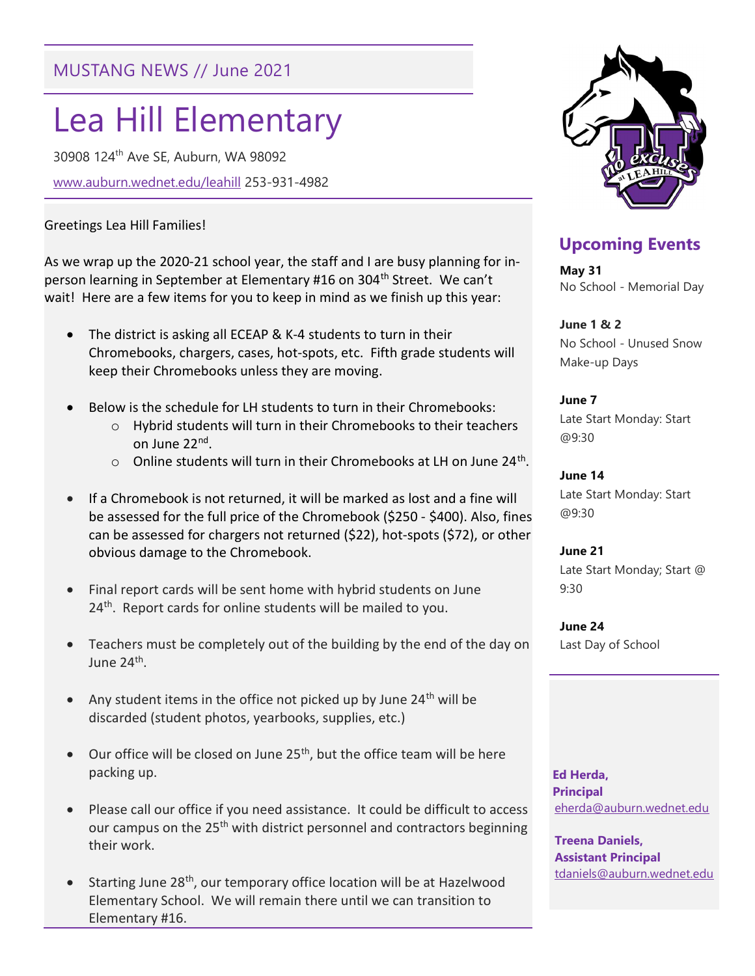## MUSTANG NEWS // June 2021

# Lea Hill Elementary

30908 124th Ave SE, Auburn, WA 98092

www.auburn.wednet.edu/leahill 253-931-4982

#### Greetings Lea Hill Families!

As we wrap up the 2020-21 school year, the staff and I are busy planning for inperson learning in September at Elementary #16 on 304<sup>th</sup> Street. We can't wait! Here are a few items for you to keep in mind as we finish up this year:

- The district is asking all ECEAP & K-4 students to turn in their Chromebooks, chargers, cases, hot-spots, etc. Fifth grade students will keep their Chromebooks unless they are moving.
- Below is the schedule for LH students to turn in their Chromebooks:
	- o Hybrid students will turn in their Chromebooks to their teachers on June 22<sup>nd</sup>.
	- $\circ$  Online students will turn in their Chromebooks at LH on June 24<sup>th</sup>.
- If a Chromebook is not returned, it will be marked as lost and a fine will be assessed for the full price of the Chromebook (\$250 - \$400). Also, fines can be assessed for chargers not returned (\$22), hot-spots (\$72), or other obvious damage to the Chromebook.
- Final report cards will be sent home with hybrid students on June 24<sup>th</sup>. Report cards for online students will be mailed to you.
- Teachers must be completely out of the building by the end of the day on June 24<sup>th</sup>.
- Any student items in the office not picked up by June  $24<sup>th</sup>$  will be discarded (student photos, yearbooks, supplies, etc.)
- $\bullet$  Our office will be closed on June 25<sup>th</sup>, but the office team will be here packing up.
- Please call our office if you need assistance. It could be difficult to access our campus on the 25<sup>th</sup> with district personnel and contractors beginning their work.
- Starting June 28<sup>th</sup>, our temporary office location will be at Hazelwood Elementary School. We will remain there until we can transition to Elementary #16.



## Upcoming Events

May 31 No School - Memorial Day

June 1 & 2 No School - Unused Snow Make-up Days

June 7 Late Start Monday: Start @9:30

June 14 Late Start Monday: Start @9:30

June 21 Late Start Monday; Start @ 9:30

June 24 Last Day of School

 Ed Herda, **Principal** eherda@auburn.wednet.edu

Treena Daniels, Assistant Principal tdaniels@auburn.wednet.edu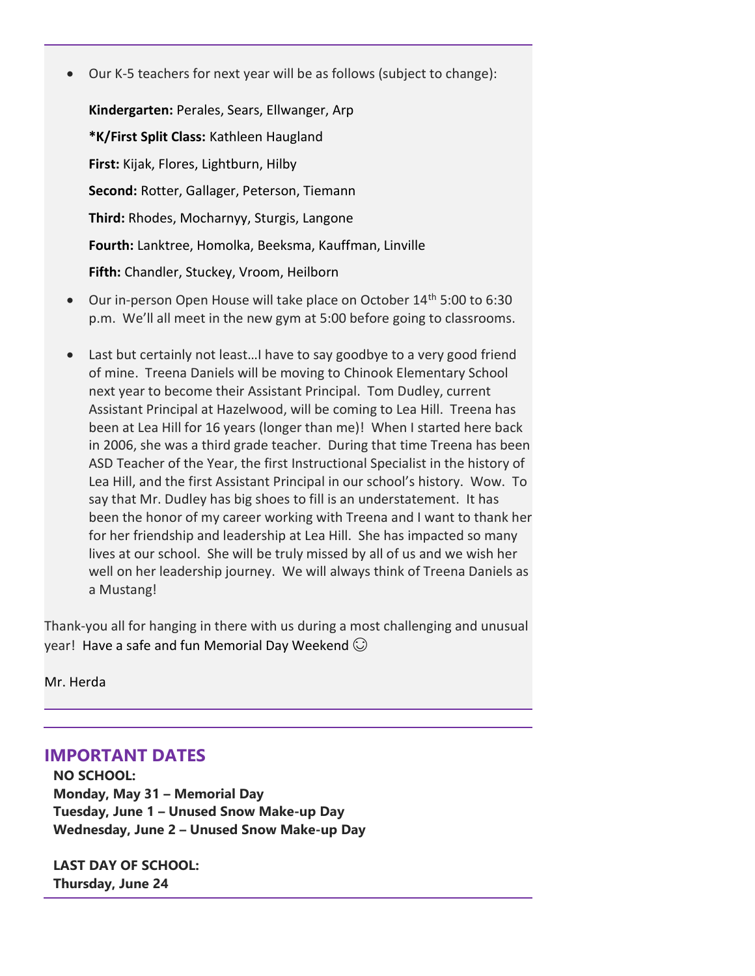Our K-5 teachers for next year will be as follows (subject to change):

Kindergarten: Perales, Sears, Ellwanger, Arp \*K/First Split Class: Kathleen Haugland First: Kijak, Flores, Lightburn, Hilby Second: Rotter, Gallager, Peterson, Tiemann Third: Rhodes, Mocharnyy, Sturgis, Langone Fourth: Lanktree, Homolka, Beeksma, Kauffman, Linville Fifth: Chandler, Stuckey, Vroom, Heilborn

- Our in-person Open House will take place on October 14<sup>th</sup> 5:00 to 6:30 p.m. We'll all meet in the new gym at 5:00 before going to classrooms.
- Last but certainly not least…I have to say goodbye to a very good friend of mine. Treena Daniels will be moving to Chinook Elementary School next year to become their Assistant Principal. Tom Dudley, current Assistant Principal at Hazelwood, will be coming to Lea Hill. Treena has been at Lea Hill for 16 years (longer than me)! When I started here back in 2006, she was a third grade teacher. During that time Treena has been ASD Teacher of the Year, the first Instructional Specialist in the history of Lea Hill, and the first Assistant Principal in our school's history. Wow. To say that Mr. Dudley has big shoes to fill is an understatement. It has been the honor of my career working with Treena and I want to thank her for her friendship and leadership at Lea Hill. She has impacted so many lives at our school. She will be truly missed by all of us and we wish her well on her leadership journey. We will always think of Treena Daniels as a Mustang!

Thank-you all for hanging in there with us during a most challenging and unusual year! Have a safe and fun Memorial Day Weekend  $\odot$ 

Mr. Herda

IMPORTANT DATES

NO SCHOOL: Monday, May 31 – Memorial Day Tuesday, June 1 – Unused Snow Make-up Day Wednesday, June 2 – Unused Snow Make-up Day

LAST DAY OF SCHOOL: Thursday, June 24